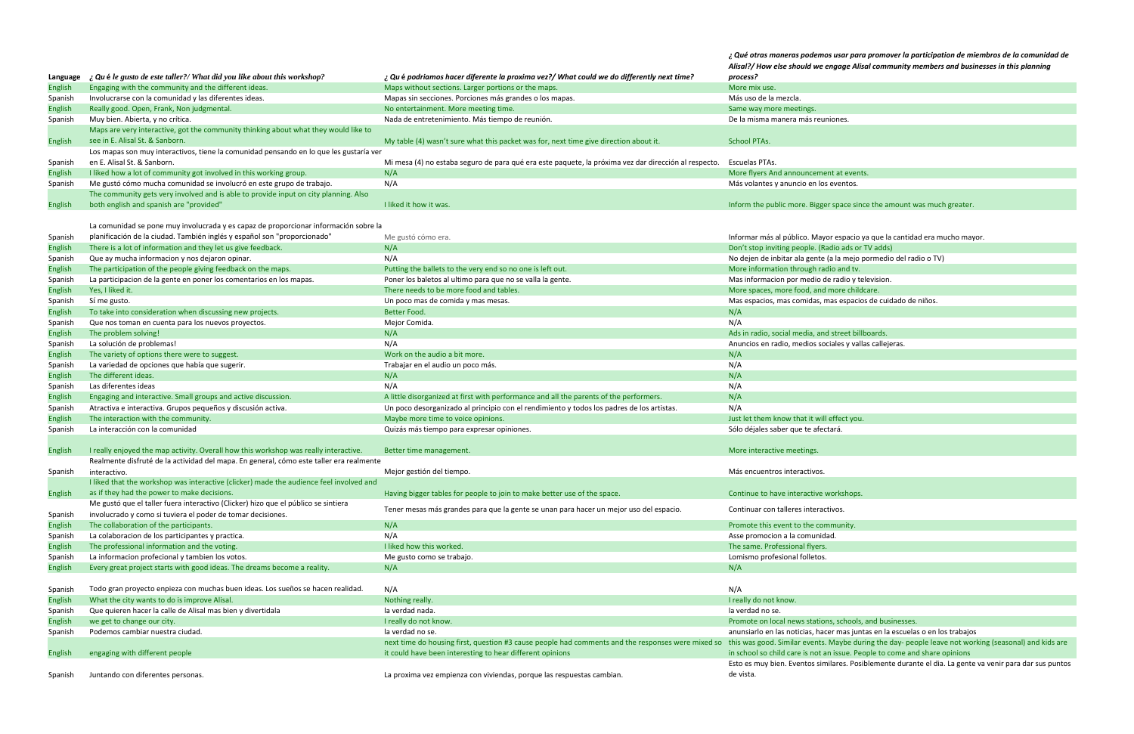*¿ Qué otras maneras podemos usar para promover la participation de miembros de la comunidad de Alisal?/ How else should we engage Alisal community members and businesses in this planning*

| ones.                                         |  |  |  |  |
|-----------------------------------------------|--|--|--|--|
|                                               |  |  |  |  |
|                                               |  |  |  |  |
|                                               |  |  |  |  |
| t at events.                                  |  |  |  |  |
| ventos.                                       |  |  |  |  |
| space since the amount was much greater.      |  |  |  |  |
|                                               |  |  |  |  |
| espacio ya que la cantidad era mucho mayor.   |  |  |  |  |
| lio ads or TV adds)                           |  |  |  |  |
| la mejo pormedio del radio o TV)              |  |  |  |  |
| o and tv.                                     |  |  |  |  |
| radio y television.                           |  |  |  |  |
| nore childcare.                               |  |  |  |  |
| as espacios de cuidado de niños.              |  |  |  |  |
|                                               |  |  |  |  |
| street billboards.                            |  |  |  |  |
| ales y vallas callejeras.                     |  |  |  |  |
|                                               |  |  |  |  |
|                                               |  |  |  |  |
|                                               |  |  |  |  |
|                                               |  |  |  |  |
|                                               |  |  |  |  |
|                                               |  |  |  |  |
| ffect you.                                    |  |  |  |  |
| ırá.                                          |  |  |  |  |
|                                               |  |  |  |  |
|                                               |  |  |  |  |
|                                               |  |  |  |  |
|                                               |  |  |  |  |
| orkshops.                                     |  |  |  |  |
| vos.                                          |  |  |  |  |
| nunity.                                       |  |  |  |  |
| I.                                            |  |  |  |  |
|                                               |  |  |  |  |
|                                               |  |  |  |  |
|                                               |  |  |  |  |
|                                               |  |  |  |  |
|                                               |  |  |  |  |
|                                               |  |  |  |  |
| , schools, and businesses.                    |  |  |  |  |
| r mas juntas en la escuelas o en los trabajos |  |  |  |  |

Maybe during the day‐ people leave not working (seasonal) and kids are  $\overline{\phantom{a}}$  issue. People to come and share opinions

lares. Posiblemente durante el dia. La gente va venir para dar sus puntos

|                |                                                                                         |                                                                                                      | ¿ Que otras maneras poaemos usar para promover la participation de mien<br>Alisal?/ How else should we engage Alisal community members and busine. |
|----------------|-----------------------------------------------------------------------------------------|------------------------------------------------------------------------------------------------------|----------------------------------------------------------------------------------------------------------------------------------------------------|
| Language       | ? Qu é le gusto de este taller?/ What did you like about this workshop?                 | ¿ Qu é podriamos hacer diferente la proxima vez?/ What could we do differently next time?            | process?                                                                                                                                           |
| <b>English</b> | Engaging with the community and the different ideas.                                    | Maps without sections. Larger portions or the maps.                                                  | More mix use.                                                                                                                                      |
| Spanish        | Involucrarse con la comunidad y las diferentes ideas.                                   | Mapas sin secciones. Porciones más grandes o los mapas.                                              | Más uso de la mezcla.                                                                                                                              |
| <b>English</b> | Really good. Open, Frank, Non judgmental.                                               | No entertainment. More meeting time.                                                                 | Same way more meetings.                                                                                                                            |
| Spanish        | Muy bien. Abierta, y no crítica.                                                        | Nada de entretenimiento. Más tiempo de reunión.                                                      | De la misma manera más reuniones.                                                                                                                  |
|                | Maps are very interactive, got the community thinking about what they would like to     |                                                                                                      |                                                                                                                                                    |
| <b>English</b> | see in E. Alisal St. & Sanborn.                                                         | My table (4) wasn't sure what this packet was for, next time give direction about it.                | <b>School PTAs.</b>                                                                                                                                |
|                | Los mapas son muy interactivos, tiene la comunidad pensando en lo que les gustaría ver  |                                                                                                      |                                                                                                                                                    |
| Spanish        | en E. Alisal St. & Sanborn.                                                             | Mi mesa (4) no estaba seguro de para qué era este paquete, la próxima vez dar dirección al respecto. | Escuelas PTAs.                                                                                                                                     |
| <b>English</b> | I liked how a lot of community got involved in this working group.                      | N/A                                                                                                  | More flyers And announcement at events.                                                                                                            |
| Spanish        | Me gustó cómo mucha comunidad se involucró en este grupo de trabajo.                    | N/A                                                                                                  | Más volantes y anuncio en los eventos.                                                                                                             |
|                | The community gets very involved and is able to provide input on city planning. Also    |                                                                                                      |                                                                                                                                                    |
| English        | both english and spanish are "provided"                                                 | I liked it how it was.                                                                               | Inform the public more. Bigger space since the amount was much greater.                                                                            |
|                |                                                                                         |                                                                                                      |                                                                                                                                                    |
|                | La comunidad se pone muy involucrada y es capaz de proporcionar información sobre la    |                                                                                                      |                                                                                                                                                    |
| Spanish        | planificación de la ciudad. También inglés y español son "proporcionado"                | Me gustó cómo era.                                                                                   | Informar más al público. Mayor espacio ya que la cantidad era mucho mayor                                                                          |
| <b>English</b> | There is a lot of information and they let us give feedback.                            | N/A                                                                                                  | Don't stop inviting people. (Radio ads or TV adds)                                                                                                 |
| Spanish        | Que ay mucha informacion y nos dejaron opinar.                                          | N/A                                                                                                  | No dejen de inbitar ala gente (a la mejo pormedio del radio o TV)                                                                                  |
| <b>English</b> | The participation of the people giving feedback on the maps.                            | Putting the ballets to the very end so no one is left out.                                           | More information through radio and tv.                                                                                                             |
| Spanish        | La participacion de la gente en poner los comentarios en los mapas.                     | Poner los baletos al ultimo para que no se valla la gente.                                           | Mas informacion por medio de radio y television.                                                                                                   |
| <b>English</b> | Yes, I liked it.                                                                        | There needs to be more food and tables.                                                              | More spaces, more food, and more childcare.                                                                                                        |
| Spanish        | Sí me gusto.                                                                            | Un poco mas de comida y mas mesas.                                                                   | Mas espacios, mas comidas, mas espacios de cuidado de niños.                                                                                       |
| <b>English</b> | To take into consideration when discussing new projects.                                | Better Food.                                                                                         | N/A                                                                                                                                                |
| Spanish        | Que nos toman en cuenta para los nuevos proyectos.                                      | Mejor Comida.                                                                                        | N/A                                                                                                                                                |
| <b>English</b> | The problem solving!                                                                    | N/A                                                                                                  | Ads in radio, social media, and street billboards.                                                                                                 |
| Spanish        | La solución de problemas!                                                               | N/A                                                                                                  | Anuncios en radio, medios sociales y vallas callejeras.                                                                                            |
| <b>English</b> | The variety of options there were to suggest.                                           | Work on the audio a bit more.                                                                        | N/A                                                                                                                                                |
| Spanish        | La variedad de opciones que había que sugerir.                                          | Trabajar en el audio un poco más.                                                                    | N/A                                                                                                                                                |
| <b>English</b> | The different ideas.                                                                    | N/A                                                                                                  | N/A                                                                                                                                                |
| Spanish        | Las diferentes ideas                                                                    | N/A                                                                                                  | N/A                                                                                                                                                |
| <b>English</b> | Engaging and interactive. Small groups and active discussion.                           | A little disorganized at first with performance and all the parents of the performers.               | N/A                                                                                                                                                |
| Spanish        | Atractiva e interactiva. Grupos pequeños y discusión activa.                            | Un poco desorganizado al principio con el rendimiento y todos los padres de los artistas.            | N/A                                                                                                                                                |
| <b>English</b> | The interaction with the community.                                                     | Maybe more time to voice opinions.                                                                   | Just let them know that it will effect you.                                                                                                        |
| Spanish        | La interacción con la comunidad                                                         | Quizás más tiempo para expresar opiniones.                                                           | Sólo déjales saber que te afectará.                                                                                                                |
|                |                                                                                         |                                                                                                      |                                                                                                                                                    |
| <b>English</b> | I really enjoyed the map activity. Overall how this workshop was really interactive.    | Better time management.                                                                              | More interactive meetings.                                                                                                                         |
|                | Realmente disfruté de la actividad del mapa. En general, cómo este taller era realmente |                                                                                                      |                                                                                                                                                    |
| Spanish        | interactivo.                                                                            | Mejor gestión del tiempo.                                                                            | Más encuentros interactivos.                                                                                                                       |
|                | I liked that the workshop was interactive (clicker) made the audience feel involved and |                                                                                                      |                                                                                                                                                    |
| English        | as if they had the power to make decisions.                                             | Having bigger tables for people to join to make better use of the space.                             | Continue to have interactive workshops.                                                                                                            |
|                | Me gustó que el taller fuera interactivo (Clicker) hizo que el público se sintiera      |                                                                                                      |                                                                                                                                                    |
| Spanish        | involucrado y como si tuviera el poder de tomar decisiones.                             | Tener mesas más grandes para que la gente se unan para hacer un mejor uso del espacio.               | Continuar con talleres interactivos.                                                                                                               |
| <b>English</b> | The collaboration of the participants.                                                  | N/A                                                                                                  | Promote this event to the community.                                                                                                               |
| Spanish        | La colaboracion de los participantes y practica.                                        | N/A                                                                                                  | Asse promocion a la comunidad.                                                                                                                     |
| <b>English</b> | The professional information and the voting.                                            | I liked how this worked.                                                                             | The same. Professional flyers.                                                                                                                     |
| Spanish        | La informacion profecional y tambien los votos.                                         | Me gusto como se trabajo.                                                                            | Lomismo profesional folletos.                                                                                                                      |
| <b>English</b> | Every great project starts with good ideas. The dreams become a reality.                | N/A                                                                                                  | N/A                                                                                                                                                |
|                |                                                                                         |                                                                                                      |                                                                                                                                                    |
| Spanish        | Todo gran proyecto enpieza con muchas buen ideas. Los sueños se hacen realidad.         | N/A                                                                                                  | N/A                                                                                                                                                |
| <b>English</b> | What the city wants to do is improve Alisal.                                            | Nothing really.                                                                                      | I really do not know.                                                                                                                              |
| Spanish        | Que quieren hacer la calle de Alisal mas bien y divertidala                             | la verdad nada.                                                                                      | la verdad no se.                                                                                                                                   |
| <b>English</b> | we get to change our city.                                                              | I really do not know.                                                                                | Promote on local news stations, schools, and businesses.                                                                                           |
| Spanish        | Podemos cambiar nuestra ciudad.                                                         | la verdad no se.                                                                                     | anunsiarlo en las noticias, hacer mas juntas en la escuelas o en los trabajos                                                                      |
|                |                                                                                         | next time do housing first, question #3 cause people had comments and the responses were mixed so    | this was good. Similar events. Maybe during the day- people leave not workin                                                                       |
| English        | engaging with different people                                                          | it could have been interesting to hear different opinions                                            | in school so child care is not an issue. People to come and share opinions                                                                         |
|                |                                                                                         |                                                                                                      | Esto es muy bien. Eventos similares. Posiblemente durante el dia. La gente va                                                                      |
| Spanish        | Juntando con diferentes personas.                                                       | La proxima vez empienza con viviendas, porque las respuestas cambian.                                | de vista.                                                                                                                                          |
|                |                                                                                         |                                                                                                      |                                                                                                                                                    |